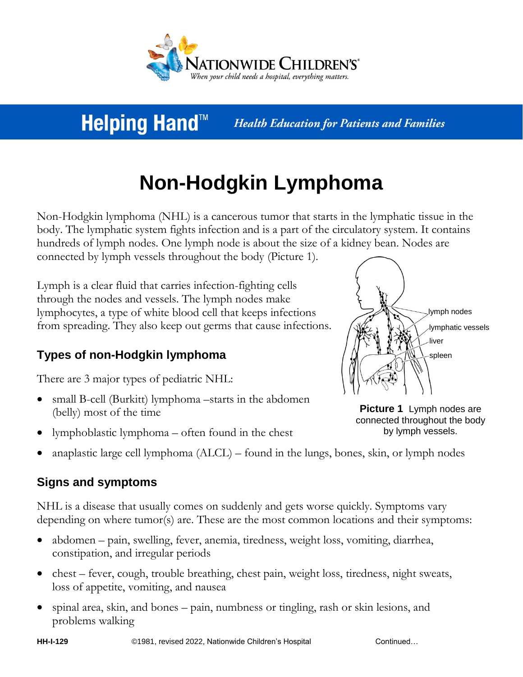

## **Helping Hand™**

**Health Education for Patients and Families** 

# **Non-Hodgkin Lymphoma**

Non-Hodgkin lymphoma (NHL) is a cancerous tumor that starts in the lymphatic tissue in the body. The lymphatic system fights infection and is a part of the circulatory system. It contains hundreds of lymph nodes. One lymph node is about the size of a kidney bean. Nodes are connected by lymph vessels throughout the body (Picture 1).

Lymph is a clear fluid that carries infection-fighting cells through the nodes and vessels. The lymph nodes make lymphocytes, a type of white blood cell that keeps infections from spreading. They also keep out germs that cause infections.

## **Types of non-Hodgkin lymphoma**

There are 3 major types of pediatric NHL:

- small B-cell (Burkitt) lymphoma –starts in the abdomen (belly) most of the time
- lymphoblastic lymphoma often found in the chest
- anaplastic large cell lymphoma (ALCL) found in the lungs, bones, skin, or lymph nodes

## **Signs and symptoms**

NHL is a disease that usually comes on suddenly and gets worse quickly. Symptoms vary depending on where tumor(s) are. These are the most common locations and their symptoms:

- abdomen pain, swelling, fever, anemia, tiredness, weight loss, vomiting, diarrhea, constipation, and irregular periods
- chest fever, cough, trouble breathing, chest pain, weight loss, tiredness, night sweats, loss of appetite, vomiting, and nausea
- spinal area, skin, and bones pain, numbness or tingling, rash or skin lesions, and problems walking



**Picture 1** Lymph nodes are connected throughout the body by lymph vessels.